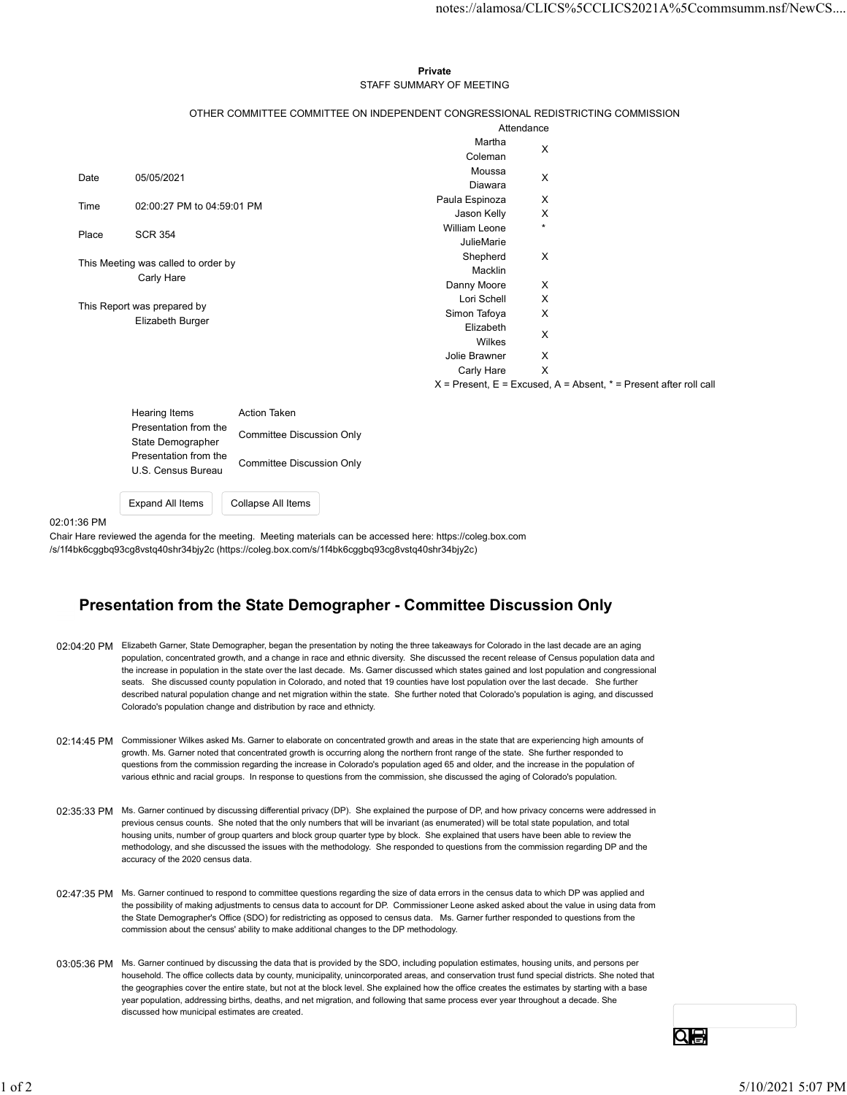## Private **Private** and *Private* and *Private* and *Private* and *Private* and *Private* and *Private* and *Private* and *Private* and *Private* and *Private* and *Private* and *Private* and *Private* and *Private* and *Pri* STAFF SUMMARY OF MEETING

|       |                                            |                                                                                 |                                     |                           | notes://alamosa/CLICS%5CCLICS2021A%5Ccommsumm.nsf/NewCS                   |  |
|-------|--------------------------------------------|---------------------------------------------------------------------------------|-------------------------------------|---------------------------|---------------------------------------------------------------------------|--|
|       |                                            |                                                                                 |                                     |                           |                                                                           |  |
|       |                                            |                                                                                 |                                     |                           |                                                                           |  |
|       |                                            |                                                                                 |                                     |                           |                                                                           |  |
|       |                                            |                                                                                 | Private<br>STAFF SUMMARY OF MEETING |                           |                                                                           |  |
|       |                                            |                                                                                 |                                     |                           |                                                                           |  |
|       |                                            | OTHER COMMITTEE COMMITTEE ON INDEPENDENT CONGRESSIONAL REDISTRICTING COMMISSION |                                     | Attendance                |                                                                           |  |
|       |                                            |                                                                                 | Martha                              |                           |                                                                           |  |
|       |                                            |                                                                                 | Coleman                             | X                         |                                                                           |  |
| Date  | 05/05/2021                                 |                                                                                 | Moussa<br>Diawara                   | X                         |                                                                           |  |
|       |                                            |                                                                                 | Paula Espinoza                      | X                         |                                                                           |  |
| Time  | 02:00:27 PM to 04:59:01 PM                 |                                                                                 | Jason Kelly                         | X                         |                                                                           |  |
| Place | <b>SCR 354</b>                             |                                                                                 | William Leone                       | $\star$                   |                                                                           |  |
|       |                                            |                                                                                 | JulieMarie<br>Shepherd              | X                         |                                                                           |  |
|       | This Meeting was called to order by        |                                                                                 | Macklin                             |                           |                                                                           |  |
|       | Carly Hare                                 |                                                                                 | Danny Moore                         | X                         |                                                                           |  |
|       | This Report was prepared by                |                                                                                 | Lori Schell                         | X                         |                                                                           |  |
|       | Elizabeth Burger                           |                                                                                 | Simon Tafoya<br>Elizabeth           | X                         |                                                                           |  |
|       |                                            |                                                                                 | Wilkes                              | X                         |                                                                           |  |
|       |                                            |                                                                                 | Jolie Brawner                       | X                         |                                                                           |  |
|       |                                            |                                                                                 | Carly Hare                          | $\boldsymbol{\mathsf{X}}$ |                                                                           |  |
|       |                                            |                                                                                 |                                     |                           | $X =$ Present, $E =$ Excused, $A =$ Absent, $* =$ Present after roll call |  |
|       | <b>Hearing Items</b>                       | Action Taken                                                                    |                                     |                           |                                                                           |  |
|       | Presentation from the                      | <b>Committee Discussion Only</b>                                                |                                     |                           |                                                                           |  |
|       | State Demographer<br>Presentation from the |                                                                                 |                                     |                           |                                                                           |  |
|       | U.S. Census Bureau                         | <b>Committee Discussion Only</b>                                                |                                     |                           |                                                                           |  |
|       |                                            |                                                                                 |                                     |                           |                                                                           |  |
|       |                                            |                                                                                 |                                     |                           |                                                                           |  |

| Hearing Items         | Action Taken                     |  |
|-----------------------|----------------------------------|--|
| Presentation from the | <b>Committee Discussion Only</b> |  |
| State Demographer     |                                  |  |
| Presentation from the | <b>Committee Discussion Only</b> |  |
| U.S. Census Bureau    |                                  |  |
|                       |                                  |  |

Expand All Items Collapse All Items

02:01:36 PM

Chair Hare reviewed the agenda for the meeting. Meeting materials can be accessed here: https://coleg.box.com /s/1f4bk6cggbq93cg8vstq40shr34bjy2c (https://coleg.box.com/s/1f4bk6cggbq93cg8vstq40shr34bjy2c)

## Presentation from the State Demographer - Committee Discussion Only

- 02:04:20 PM Elizabeth Garner, State Demographer, began the presentation by noting the three takeaways for Colorado in the last decade are an aging population, concentrated growth, and a change in race and ethnic diversity. She discussed the recent release of Census population data and the increase in population in the state over the last decade. Ms. Garner discussed which states gained and lost population and congressional seats. She discussed county population in Colorado, and noted that 19 counties have lost population over the last decade. She further described natural population change and net migration within the state. She further noted that Colorado's population is aging, and discussed Colorado's population change and distribution by race and ethnicty.
- 02:14:45 PM Commissioner Wilkes asked Ms. Garner to elaborate on concentrated growth and areas in the state that are experiencing high amounts of growth. Ms. Garner noted that concentrated growth is occurring along the northern front range of the state. She further responded to questions from the commission regarding the increase in Colorado's population aged 65 and older, and the increase in the population of various ethnic and racial groups. In response to questions from the commission, she discussed the aging of Colorado's population.
- 02:35:33 PM Ms. Garner continued by discussing differential privacy (DP). She explained the purpose of DP, and how privacy concerns were addressed in previous census counts. She noted that the only numbers that will be invariant (as enumerated) will be total state population, and total housing units, number of group quarters and block group quarter type by block. She explained that users have been able to review the methodology, and she discussed the issues with the methodology. She responded to questions from the commission regarding DP and the accuracy of the 2020 census data. 02:14:45 PM Commuters with a cased Mix Commute signate and concern particle and search in the data between the commute of the commute of the commute of the commute of the commute of the commute of the commute of the commu
	- 02:47:35 PM Ms. Garner continued to respond to committee questions regarding the size of data errors in the census data to which DP was applied and the possibility of making adjustments to census data to account for DP. Commissioner Leone asked asked about the value in using data from the State Demographer's Office (SDO) for redistricting as opposed to census data. Ms. Garner further responded to questions from the commission about the census' ability to make additional changes to the DP methodology.
	- 03:05:36 PM Ms. Garner continued by discussing the data that is provided by the SDO, including population estimates, housing units, and persons per household. The office collects data by county, municipality, unincorporated areas, and conservation trust fund special districts. She noted that the geographies cover the entire state, but not at the block level. She explained how the office creates the estimates by starting with a base year population, addressing births, deaths, and net migration, and following that same process ever year throughout a decade. She discussed how municipal estimates are created.